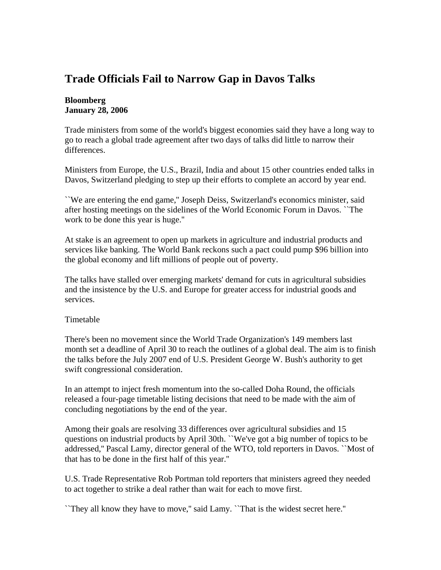## **Trade Officials Fail to Narrow Gap in Davos Talks**

## **Bloomberg January 28, 2006**

Trade ministers from some of the world's biggest economies said they have a long way to go to reach a global trade agreement after two days of talks did little to narrow their differences.

Ministers from Europe, the U.S., Brazil, India and about 15 other countries ended talks in Davos, Switzerland pledging to step up their efforts to complete an accord by year end.

``We are entering the end game,'' Joseph Deiss, Switzerland's economics minister, said after hosting meetings on the sidelines of the World Economic Forum in Davos. ``The work to be done this year is huge.''

At stake is an agreement to open up markets in agriculture and industrial products and services like banking. The World Bank reckons such a pact could pump \$96 billion into the global economy and lift millions of people out of poverty.

The talks have stalled over emerging markets' demand for cuts in agricultural subsidies and the insistence by the U.S. and Europe for greater access for industrial goods and services.

## Timetable

There's been no movement since the World Trade Organization's 149 members last month set a deadline of April 30 to reach the outlines of a global deal. The aim is to finish the talks before the July 2007 end of U.S. President George W. Bush's authority to get swift congressional consideration.

In an attempt to inject fresh momentum into the so-called Doha Round, the officials released a four-page timetable listing decisions that need to be made with the aim of concluding negotiations by the end of the year.

Among their goals are resolving 33 differences over agricultural subsidies and 15 questions on industrial products by April 30th. ``We've got a big number of topics to be addressed,'' Pascal Lamy, director general of the WTO, told reporters in Davos. ``Most of that has to be done in the first half of this year.''

U.S. Trade Representative Rob Portman told reporters that ministers agreed they needed to act together to strike a deal rather than wait for each to move first.

``They all know they have to move,'' said Lamy. ``That is the widest secret here.''